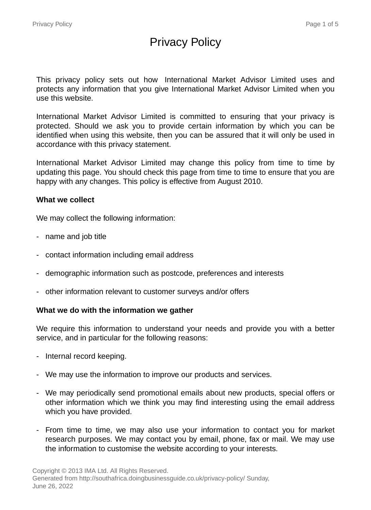# Privacy Policy

This privacy policy sets out how International Market Advisor Limited uses and protects any information that you give International Market Advisor Limited when you use this website.

International Market Advisor Limited is committed to ensuring that your privacy is protected. Should we ask you to provide certain information by which you can be identified when using this website, then you can be assured that it will only be used in accordance with this privacy statement.

International Market Advisor Limited may change this policy from time to time by updating this page. You should check this page from time to time to ensure that you are happy with any changes. This policy is effective from August 2010.

#### **What we collect**

We may collect the following information:

- name and job title
- contact information including email address
- demographic information such as postcode, preferences and interests
- other information relevant to customer surveys and/or offers

#### **What we do with the information we gather**

We require this information to understand your needs and provide you with a better service, and in particular for the following reasons:

- Internal record keeping.
- We may use the information to improve our products and services.
- We may periodically send promotional emails about new products, special offers or other information which we think you may find interesting using the email address which you have provided.
- From time to time, we may also use your information to contact you for market research purposes. We may contact you by email, phone, fax or mail. We may use the information to customise the website according to your interests.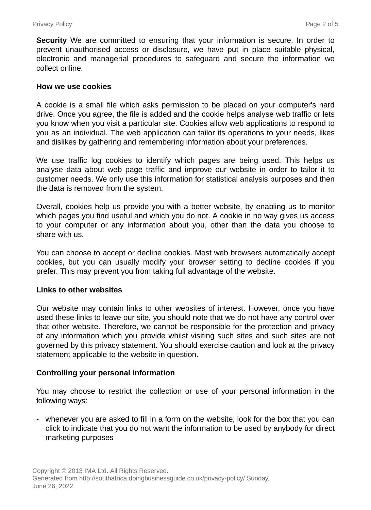**Security** We are committed to ensuring that your information is secure. In order to prevent unauthorised access or disclosure, we have put in place suitable physical, electronic and managerial procedures to safeguard and secure the information we collect online.

#### **How we use cookies**

A cookie is a small file which asks permission to be placed on your computer's hard drive. Once you agree, the file is added and the cookie helps analyse web traffic or lets you know when you visit a particular site. Cookies allow web applications to respond to you as an individual. The web application can tailor its operations to your needs, likes and dislikes by gathering and remembering information about your preferences.

We use traffic log cookies to identify which pages are being used. This helps us analyse data about web page traffic and improve our website in order to tailor it to customer needs. We only use this information for statistical analysis purposes and then the data is removed from the system.

Overall, cookies help us provide you with a better website, by enabling us to monitor which pages you find useful and which you do not. A cookie in no way gives us access to your computer or any information about you, other than the data you choose to share with us.

You can choose to accept or decline cookies. Most web browsers automatically accept cookies, but you can usually modify your browser setting to decline cookies if you prefer. This may prevent you from taking full advantage of the website.

#### **Links to other websites**

Our website may contain links to other websites of interest. However, once you have used these links to leave our site, you should note that we do not have any control over that other website. Therefore, we cannot be responsible for the protection and privacy of any information which you provide whilst visiting such sites and such sites are not governed by this privacy statement. You should exercise caution and look at the privacy statement applicable to the website in question.

#### **Controlling your personal information**

You may choose to restrict the collection or use of your personal information in the following ways:

- whenever you are asked to fill in a form on the website, look for the box that you can click to indicate that you do not want the information to be used by anybody for direct marketing purposes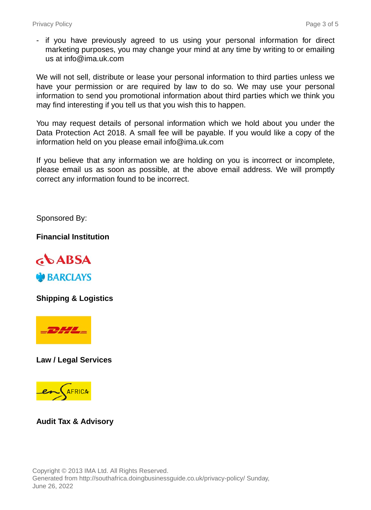- if you have previously agreed to us using your personal information for direct marketing purposes, you may change your mind at any time by writing to or emailing us at info@ima.uk.com

We will not sell, distribute or lease your personal information to third parties unless we have your permission or are required by law to do so. We may use your personal information to send you promotional information about third parties which we think you may find interesting if you tell us that you wish this to happen.

You may request details of personal information which we hold about you under the Data Protection Act 2018. A small fee will be payable. If you would like a copy of the information held on you please email info@ima.uk.com

If you believe that any information we are holding on you is incorrect or incomplete, please email us as soon as possible, at the above email address. We will promptly correct any information found to be incorrect.

Sponsored By:

**Financial Institution**



**Shipping & Logistics**



**Law / Legal Services**



**Audit Tax & Advisory**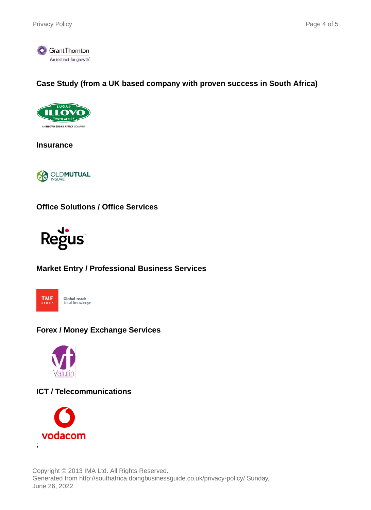

## **Case Study (from a UK based company with proven success in South Africa)**



**Insurance**



**Office Solutions / Office Services**



# **Market Entry / Professional Business Services**



## **Forex / Money Exchange Services**



## **ICT / Telecommunications**



Copyright © 2013 IMA Ltd. All Rights Reserved. Generated from http://southafrica.doingbusinessguide.co.uk/privacy-policy/ Sunday, June 26, 2022